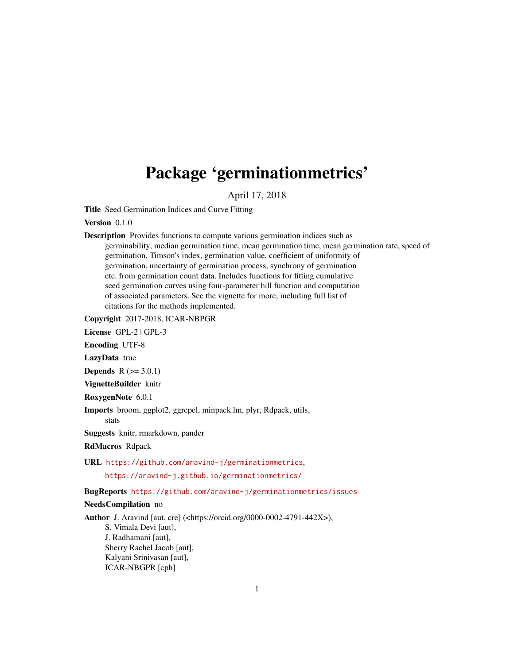# Package 'germinationmetrics'

April 17, 2018

Title Seed Germination Indices and Curve Fitting

Version 0.1.0

Description Provides functions to compute various germination indices such as germinability, median germination time, mean germination time, mean germination rate, speed of germination, Timson's index, germination value, coefficient of uniformity of germination, uncertainty of germination process, synchrony of germination etc. from germination count data. Includes functions for fitting cumulative seed germination curves using four-parameter hill function and computation of associated parameters. See the vignette for more, including full list of citations for the methods implemented.

Copyright 2017-2018, ICAR-NBPGR

License GPL-2 | GPL-3

Encoding UTF-8

LazyData true

**Depends**  $R (= 3.0.1)$ 

VignetteBuilder knitr

RoxygenNote 6.0.1

Imports broom, ggplot2, ggrepel, minpack.lm, plyr, Rdpack, utils,

stats

Suggests knitr, rmarkdown, pander

RdMacros Rdpack

URL <https://github.com/aravind-j/germinationmetrics>, <https://aravind-j.github.io/germinationmetrics/>

BugReports <https://github.com/aravind-j/germinationmetrics/issues>

#### NeedsCompilation no

Author J. Aravind [aut, cre] (<https://orcid.org/0000-0002-4791-442X>), S. Vimala Devi [aut], J. Radhamani [aut], Sherry Rachel Jacob [aut], Kalyani Srinivasan [aut], ICAR-NBGPR [cph]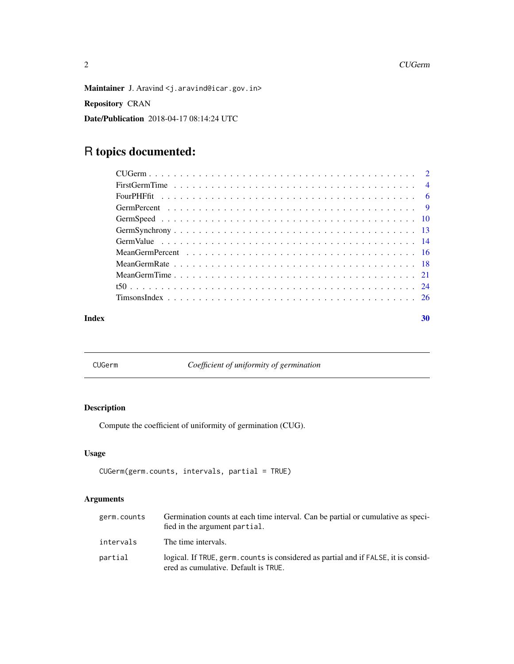<span id="page-1-0"></span>Maintainer J. Aravind <j.aravind@icar.gov.in> Repository CRAN Date/Publication 2018-04-17 08:14:24 UTC

## R topics documented:

| Index | 30 |
|-------|----|

<span id="page-1-1"></span>CUGerm *Coefficient of uniformity of germination*

### Description

Compute the coefficient of uniformity of germination (CUG).

#### Usage

```
CUGerm(germ.counts, intervals, partial = TRUE)
```
#### Arguments

| germ.counts | Germination counts at each time interval. Can be partial or cumulative as speci-<br>fied in the argument partial.           |
|-------------|-----------------------------------------------------------------------------------------------------------------------------|
| intervals   | The time intervals.                                                                                                         |
| partial     | logical. If TRUE, germ, counts is considered as partial and if FALSE, it is consid-<br>ered as cumulative. Default is TRUE. |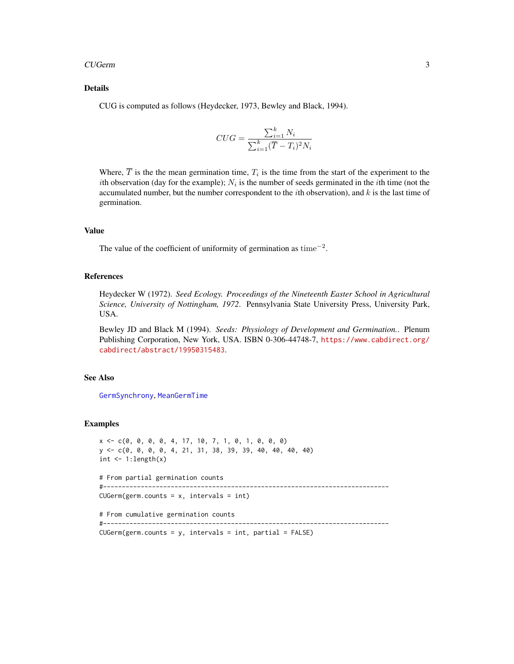#### <span id="page-2-0"></span>CUGerm 3

#### Details

CUG is computed as follows (Heydecker, 1973, Bewley and Black, 1994).

$$
CUG = \frac{\sum_{i=1}^{k} N_i}{\sum_{i=1}^{k} (\overline{T} - T_i)^2 N_i}
$$

Where,  $T$  is the the mean germination time,  $T_i$  is the time from the start of the experiment to the *i*th observation (day for the example);  $N_i$  is the number of seeds germinated in the *i*th time (not the accumulated number, but the number correspondent to the *i*th observation), and  $k$  is the last time of germination.

#### Value

The value of the coefficient of uniformity of germination as time<sup> $-2$ </sup>.

#### References

Heydecker W (1972). *Seed Ecology. Proceedings of the Nineteenth Easter School in Agricultural Science, University of Nottingham, 1972*. Pennsylvania State University Press, University Park, USA.

Bewley JD and Black M (1994). *Seeds: Physiology of Development and Germination.*. Plenum Publishing Corporation, New York, USA. ISBN 0-306-44748-7, [https://www.cabdirect.org/](https://www.cabdirect.org/cabdirect/abstract/19950315483) [cabdirect/abstract/19950315483](https://www.cabdirect.org/cabdirect/abstract/19950315483).

#### See Also

[GermSynchrony](#page-12-1), [MeanGermTime](#page-20-1)

#### Examples

```
x \leq -c(0, 0, 0, 0, 4, 17, 10, 7, 1, 0, 1, 0, 0, 0)y <- c(0, 0, 0, 0, 4, 21, 31, 38, 39, 39, 40, 40, 40, 40)
int \leq -1: length(x)# From partial germination counts
```

```
#----------------------------------------------------------------------------
```
 $CUGerm(germ.counts = x, intervals = int)$ 

# From cumulative germination counts

```
#----------------------------------------------------------------------------
```
CUGerm(germ.counts = y, intervals = int, partial = FALSE)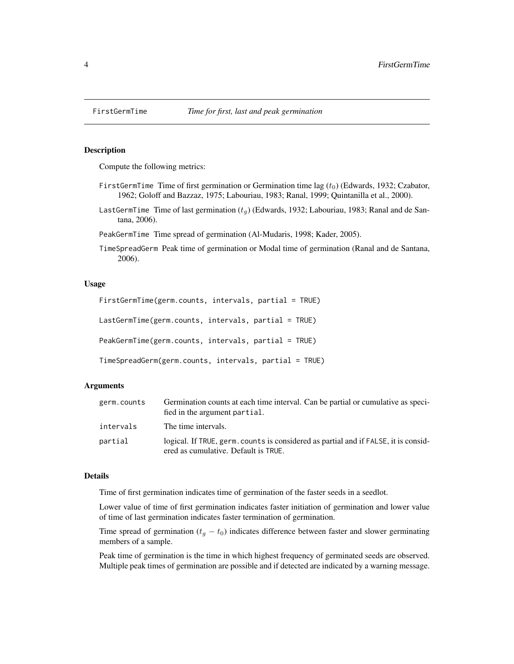<span id="page-3-0"></span>

#### Description

Compute the following metrics:

- FirstGermTime Time of first germination or Germination time lag  $(t_0)$  (Edwards, 1932; Czabator, 1962; Goloff and Bazzaz, 1975; Labouriau, 1983; Ranal, 1999; Quintanilla et al., 2000).
- LastGermTime Time of last germination  $(t_q)$  (Edwards, 1932; Labouriau, 1983; Ranal and de Santana, 2006).
- PeakGermTime Time spread of germination (Al-Mudaris, 1998; Kader, 2005).
- TimeSpreadGerm Peak time of germination or Modal time of germination (Ranal and de Santana, 2006).

#### Usage

FirstGermTime(germ.counts, intervals, partial = TRUE) LastGermTime(germ.counts, intervals, partial = TRUE) PeakGermTime(germ.counts, intervals, partial = TRUE) TimeSpreadGerm(germ.counts, intervals, partial = TRUE)

#### Arguments

| germ.counts | Germination counts at each time interval. Can be partial or cumulative as speci-<br>fied in the argument partial.           |
|-------------|-----------------------------------------------------------------------------------------------------------------------------|
| intervals   | The time intervals.                                                                                                         |
| partial     | logical. If TRUE, germ, counts is considered as partial and if FALSE, it is consid-<br>ered as cumulative. Default is TRUE. |

#### Details

Time of first germination indicates time of germination of the faster seeds in a seedlot.

Lower value of time of first germination indicates faster initiation of germination and lower value of time of last germination indicates faster termination of germination.

Time spread of germination ( $t<sub>g</sub> - t<sub>0</sub>$ ) indicates difference between faster and slower germinating members of a sample.

Peak time of germination is the time in which highest frequency of germinated seeds are observed. Multiple peak times of germination are possible and if detected are indicated by a warning message.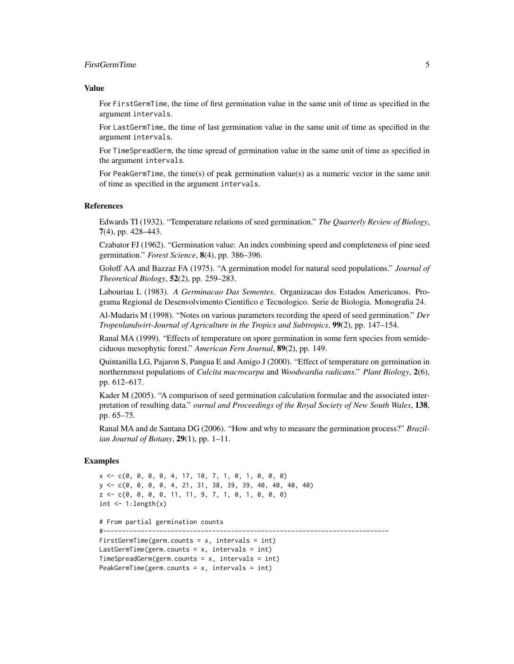#### FirstGermTime 5

#### Value

For FirstGermTime, the time of first germination value in the same unit of time as specified in the argument intervals.

For LastGermTime, the time of last germination value in the same unit of time as specified in the argument intervals.

For TimeSpreadGerm, the time spread of germination value in the same unit of time as specified in the argument intervals.

For PeakGermTime, the time(s) of peak germination value(s) as a numeric vector in the same unit of time as specified in the argument intervals.

#### References

Edwards TI (1932). "Temperature relations of seed germination." *The Quarterly Review of Biology*, 7(4), pp. 428–443.

Czabator FJ (1962). "Germination value: An index combining speed and completeness of pine seed germination." *Forest Science*, 8(4), pp. 386–396.

Goloff AA and Bazzaz FA (1975). "A germination model for natural seed populations." *Journal of Theoretical Biology*, 52(2), pp. 259–283.

Labouriau L (1983). *A Germinacao Das Sementes*. Organizacao dos Estados Americanos. Programa Regional de Desenvolvimento Cientifico e Tecnologico. Serie de Biologia. Monografia 24.

Al-Mudaris M (1998). "Notes on various parameters recording the speed of seed germination." *Der Tropenlandwirt-Journal of Agriculture in the Tropics and Subtropics*, 99(2), pp. 147–154.

Ranal MA (1999). "Effects of temperature on spore germination in some fern species from semideciduous mesophytic forest." *American Fern Journal*, 89(2), pp. 149.

Quintanilla LG, Pajaron S, Pangua E and Amigo J (2000). "Effect of temperature on germination in northernmost populations of *Culcita macrocarpa* and *Woodwardia radicans*." *Plant Biology*, 2(6), pp. 612–617.

Kader M (2005). "A comparison of seed germination calculation formulae and the associated interpretation of resulting data." *ournal and Proceedings of the Royal Society of New South Wales*, 138, pp. 65–75.

Ranal MA and de Santana DG (2006). "How and why to measure the germination process?" *Brazilian Journal of Botany*, 29(1), pp. 1–11.

#### Examples

```
x \leq -c(0, 0, 0, 0, 4, 17, 10, 7, 1, 0, 1, 0, 0, 0)y <- c(0, 0, 0, 0, 4, 21, 31, 38, 39, 39, 40, 40, 40, 40)
z \leq c(0, 0, 0, 0, 11, 11, 9, 7, 1, 0, 1, 0, 0, 0)int \leq -1: length(x)
```

```
# From partial germination counts
```

```
#----------------------------------------------------------------------------
```

```
FirstGermTime(germ.counts = x, intervals = int)
LastGermTime(germ.counts = x, intervals = int)
TimeSpreadGerm(germ.counts = x, intervals = int)PeakGermTime(germ.counts = x, intervals = int)
```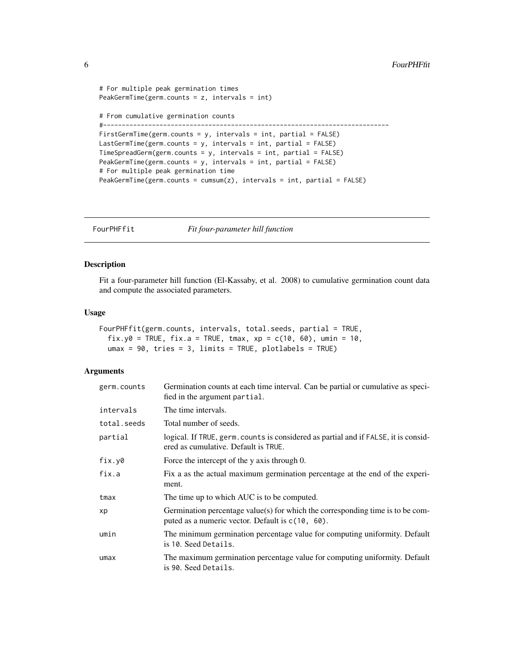```
# For multiple peak germination times
PeakGermTime(germ.counts = z, intervals = int)
# From cumulative germination counts
#----------------------------------------------------------------------------
FirstGermTime(germ.counts = y, intervals = int, partial = FALSE)
LastGermTime(germ.counts = y, intervals = int, partial = FALSE)
TimeSpreadGerm(germ.counts = y, intervals = int, partial = FALSE)
PeakGermTime(germ.counts = y, intervals = int, partial = FALSE)
# For multiple peak germination time
PeakGermTime(germ.counts = cumsum(z), intervals = int, partial = FALSE)
```
FourPHFfit *Fit four-parameter hill function*

#### Description

Fit a four-parameter hill function (El-Kassaby, et al. 2008) to cumulative germination count data and compute the associated parameters.

#### Usage

```
FourPHFfit(germ.counts, intervals, total.seeds, partial = TRUE,
  fix.y0 = TRUE, fix.a = TRUE, tmax, xp = c(10, 60), umin = 10,
  umax = 90, tries = 3, limits = TRUE, plotlabels = TRUE)
```
#### Arguments

| germ.counts | Germination counts at each time interval. Can be partial or cumulative as speci-<br>fied in the argument partial.                     |
|-------------|---------------------------------------------------------------------------------------------------------------------------------------|
| intervals   | The time intervals.                                                                                                                   |
| total.seeds | Total number of seeds.                                                                                                                |
| partial     | logical. If TRUE, germ. counts is considered as partial and if FALSE, it is consid-<br>ered as cumulative. Default is TRUE.           |
| fix.y0      | Force the intercept of the y axis through 0.                                                                                          |
| fix.a       | Fix a as the actual maximum germination percentage at the end of the experi-<br>ment.                                                 |
| tmax        | The time up to which AUC is to be computed.                                                                                           |
| xp          | Germination percentage value(s) for which the corresponding time is to be com-<br>puted as a numeric vector. Default is $c(10, 60)$ . |
| umin        | The minimum germination percentage value for computing uniformity. Default<br>is 10. Seed Details.                                    |
| umax        | The maximum germination percentage value for computing uniformity. Default<br>is 90. Seed Details.                                    |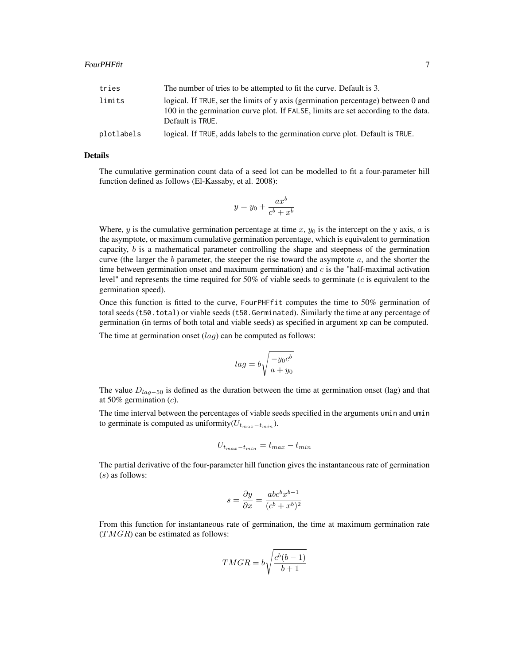| tries      | The number of tries to be attempted to fit the curve. Default is 3.                                                                                                                         |
|------------|---------------------------------------------------------------------------------------------------------------------------------------------------------------------------------------------|
| limits     | logical. If TRUE, set the limits of y axis (germination percentage) between 0 and<br>100 in the germination curve plot. If FALSE, limits are set according to the data.<br>Default is TRUE. |
| plotlabels | logical. If TRUE, adds labels to the germination curve plot. Default is TRUE.                                                                                                               |

#### Details

The cumulative germination count data of a seed lot can be modelled to fit a four-parameter hill function defined as follows (El-Kassaby, et al. 2008):

$$
y = y_0 + \frac{ax^b}{c^b + x^b}
$$

Where, y is the cumulative germination percentage at time  $x, y_0$  is the intercept on the y axis, a is the asymptote, or maximum cumulative germination percentage, which is equivalent to germination capacity,  $b$  is a mathematical parameter controlling the shape and steepness of the germination curve (the larger the  $b$  parameter, the steeper the rise toward the asymptote  $a$ , and the shorter the time between germination onset and maximum germination) and  $c$  is the "half-maximal activation level" and represents the time required for 50% of viable seeds to germinate (c is equivalent to the germination speed).

Once this function is fitted to the curve, FourPHFfit computes the time to 50% germination of total seeds (t50.total) or viable seeds (t50.Germinated). Similarly the time at any percentage of germination (in terms of both total and viable seeds) as specified in argument xp can be computed.

The time at germination onset  $(lag)$  can be computed as follows:

$$
lag = b \sqrt{\frac{-y_0 c^b}{a + y_0}}
$$

The value  $D_{lag-50}$  is defined as the duration between the time at germination onset (lag) and that at 50% germination  $(c)$ .

The time interval between the percentages of viable seeds specified in the arguments umin and umin to germinate is computed as uniformity $(U_{t_{max}-t_{min}})$ .

$$
U_{t_{max}-t_{min}} = t_{max} - t_{min}
$$

The partial derivative of the four-parameter hill function gives the instantaneous rate of germination (s) as follows:

$$
s = \frac{\partial y}{\partial x} = \frac{abc^b x^{b-1}}{(c^b + x^b)^2}
$$

From this function for instantaneous rate of germination, the time at maximum germination rate  $(TMGR)$  can be estimated as follows:

$$
TMGR = b\sqrt{\frac{c^b(b-1)}{b+1}}
$$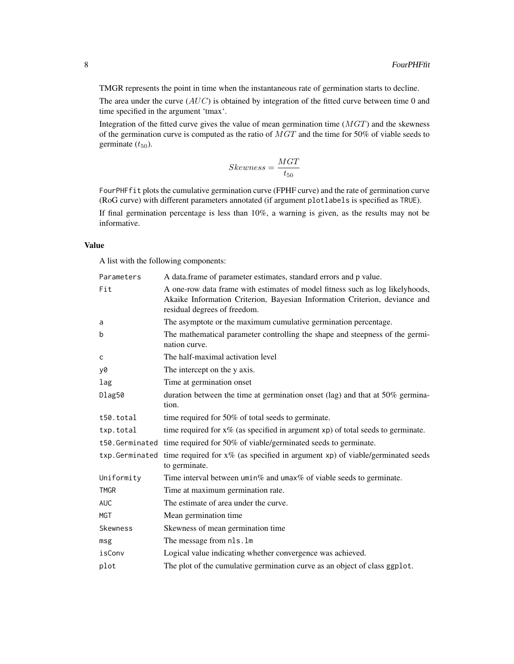TMGR represents the point in time when the instantaneous rate of germination starts to decline.

The area under the curve  $(AUC)$  is obtained by integration of the fitted curve between time 0 and time specified in the argument 'tmax'.

Integration of the fitted curve gives the value of mean germination time  $(MGT)$  and the skewness of the germination curve is computed as the ratio of MGT and the time for 50% of viable seeds to germinate  $(t_{50})$ .

$$
Skewness = \frac{MGT}{t_{50}}
$$

FourPHFfit plots the cumulative germination curve (FPHF curve) and the rate of germination curve (RoG curve) with different parameters annotated (if argument plotlabels is specified as TRUE).

If final germination percentage is less than 10%, a warning is given, as the results may not be informative.

#### Value

A list with the following components:

| Parameters     | A data.frame of parameter estimates, standard errors and p value.                                                                                                                           |
|----------------|---------------------------------------------------------------------------------------------------------------------------------------------------------------------------------------------|
| Fit            | A one-row data frame with estimates of model fitness such as log likelyhoods,<br>Akaike Information Criterion, Bayesian Information Criterion, deviance and<br>residual degrees of freedom. |
| a              | The asymptote or the maximum cumulative germination percentage.                                                                                                                             |
| b              | The mathematical parameter controlling the shape and steepness of the germi-<br>nation curve.                                                                                               |
| c              | The half-maximal activation level                                                                                                                                                           |
| y0             | The intercept on the y axis.                                                                                                                                                                |
| lag            | Time at germination onset                                                                                                                                                                   |
| Dlag50         | duration between the time at germination onset (lag) and that at 50% germina-<br>tion.                                                                                                      |
| t50.total      | time required for 50% of total seeds to germinate.                                                                                                                                          |
| txp.total      | time required for $x\%$ (as specified in argument $xp$ ) of total seeds to germinate.                                                                                                       |
|                | t50. Germinated time required for 50% of viable/germinated seeds to germinate.                                                                                                              |
| txp.Germinated | time required for $x\%$ (as specified in argument xp) of viable/germinated seeds<br>to germinate.                                                                                           |
| Uniformity     | Time interval between $\text{umin}\%$ and $\text{umax}\%$ of viable seeds to germinate.                                                                                                     |
| <b>TMGR</b>    | Time at maximum germination rate.                                                                                                                                                           |
| <b>AUC</b>     | The estimate of area under the curve.                                                                                                                                                       |
| <b>MGT</b>     | Mean germination time                                                                                                                                                                       |
| Skewness       | Skewness of mean germination time                                                                                                                                                           |
| msg            | The message from nls.lm                                                                                                                                                                     |
| isConv         | Logical value indicating whether convergence was achieved.                                                                                                                                  |
| plot           | The plot of the cumulative germination curve as an object of class ggplot.                                                                                                                  |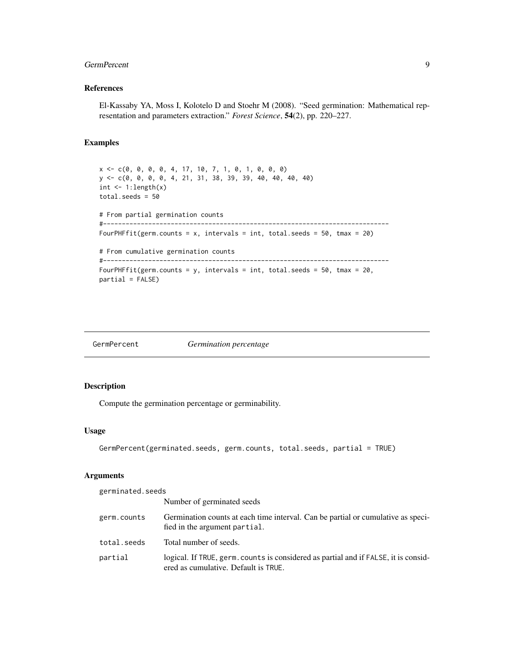#### <span id="page-8-0"></span>GermPercent 9

#### References

El-Kassaby YA, Moss I, Kolotelo D and Stoehr M (2008). "Seed germination: Mathematical representation and parameters extraction." *Forest Science*, 54(2), pp. 220–227.

#### Examples

```
x <- c(0, 0, 0, 0, 4, 17, 10, 7, 1, 0, 1, 0, 0, 0)
y <- c(0, 0, 0, 0, 4, 21, 31, 38, 39, 39, 40, 40, 40, 40)
int \leq -1: length(x)
total.seeds = 50
# From partial germination counts
#----------------------------------------------------------------------------
FourPHFfit(germ.counts = x, intervals = int, total.seeds = 50, tmax = 20)
# From cumulative germination counts
#----------------------------------------------------------------------------
FourPHFfit(germ.counts = y, intervals = int, total.seeds = 50, tmax = 20,
partial = FALSE)
```
<span id="page-8-1"></span>

| GermPercent | <i>Germination percentage</i> |
|-------------|-------------------------------|
|-------------|-------------------------------|

#### Description

Compute the germination percentage or germinability.

#### Usage

```
GermPercent(germinated.seeds, germ.counts, total.seeds, partial = TRUE)
```
#### Arguments

germinated.seeds

|             | Number of germinated seeds                                                                                                  |
|-------------|-----------------------------------------------------------------------------------------------------------------------------|
| germ.counts | Germination counts at each time interval. Can be partial or cumulative as speci-<br>fied in the argument partial.           |
| total.seeds | Total number of seeds.                                                                                                      |
| partial     | logical. If TRUE, germ, counts is considered as partial and if FALSE, it is consid-<br>ered as cumulative. Default is TRUE. |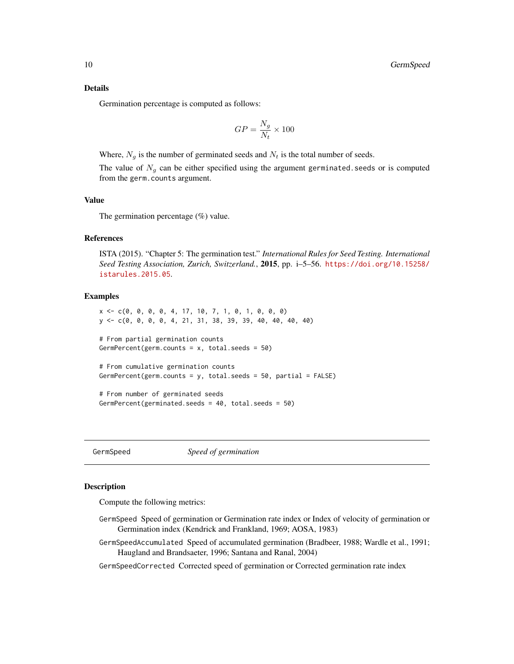<span id="page-9-0"></span>Germination percentage is computed as follows:

$$
GP = \frac{N_g}{N_t} \times 100
$$

Where,  $N_q$  is the number of germinated seeds and  $N_t$  is the total number of seeds.

The value of  $N_g$  can be either specified using the argument germinated. seeds or is computed from the germ.counts argument.

#### Value

The germination percentage (%) value.

#### References

ISTA (2015). "Chapter 5: The germination test." *International Rules for Seed Testing. International Seed Testing Association, Zurich, Switzerland.*, 2015, pp. i–5–56. [https://doi.org/10.15258/](https://doi.org/10.15258/istarules.2015.05) [istarules.2015.05](https://doi.org/10.15258/istarules.2015.05).

#### Examples

```
x <- c(0, 0, 0, 0, 4, 17, 10, 7, 1, 0, 1, 0, 0, 0)
y <- c(0, 0, 0, 0, 4, 21, 31, 38, 39, 39, 40, 40, 40, 40)
# From partial germination counts
GermPercent(germ.counts = x, total.seeds = 50)
# From cumulative germination counts
GermPercent(germ.counts = y, total.seeds = 50, partial = FALSE)
# From number of germinated seeds
```
GermSpeed *Speed of germination*

GermPercent(germinated.seeds = 40, total.seeds = 50)

#### Description

Compute the following metrics:

- GermSpeed Speed of germination or Germination rate index or Index of velocity of germination or Germination index (Kendrick and Frankland, 1969; AOSA, 1983)
- GermSpeedAccumulated Speed of accumulated germination (Bradbeer, 1988; Wardle et al., 1991; Haugland and Brandsaeter, 1996; Santana and Ranal, 2004)

GermSpeedCorrected Corrected speed of germination or Corrected germination rate index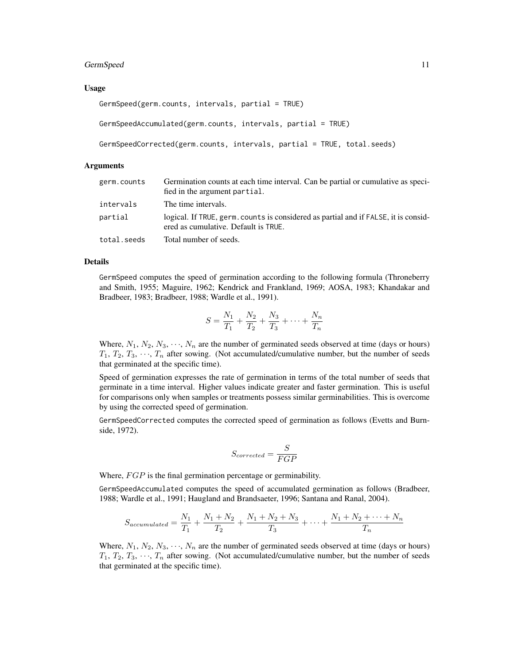#### GermSpeed 11

#### Usage

```
GermSpeed(germ.counts, intervals, partial = TRUE)
GermSpeedAccumulated(germ.counts, intervals, partial = TRUE)
GermSpeedCorrected(germ.counts, intervals, partial = TRUE, total.seeds)
```
#### Arguments

| germ.counts | Germination counts at each time interval. Can be partial or cumulative as speci-<br>fied in the argument partial.           |
|-------------|-----------------------------------------------------------------------------------------------------------------------------|
| intervals   | The time intervals.                                                                                                         |
| partial     | logical. If TRUE, germ. counts is considered as partial and if FALSE, it is consid-<br>ered as cumulative. Default is TRUE. |
| total.seeds | Total number of seeds.                                                                                                      |

#### Details

GermSpeed computes the speed of germination according to the following formula (Throneberry and Smith, 1955; Maguire, 1962; Kendrick and Frankland, 1969; AOSA, 1983; Khandakar and Bradbeer, 1983; Bradbeer, 1988; Wardle et al., 1991).

$$
S = \frac{N_1}{T_1} + \frac{N_2}{T_2} + \frac{N_3}{T_3} + \dots + \frac{N_n}{T_n}
$$

Where,  $N_1, N_2, N_3, \cdots, N_n$  are the number of germinated seeds observed at time (days or hours)  $T_1, T_2, T_3, \dots, T_n$  after sowing. (Not accumulated/cumulative number, but the number of seeds that germinated at the specific time).

Speed of germination expresses the rate of germination in terms of the total number of seeds that germinate in a time interval. Higher values indicate greater and faster germination. This is useful for comparisons only when samples or treatments possess similar germinabilities. This is overcome by using the corrected speed of germination.

GermSpeedCorrected computes the corrected speed of germination as follows (Evetts and Burnside, 1972).

$$
S_{corrected} = \frac{S}{FGP}
$$

Where,  $FGP$  is the final germination percentage or germinability.

GermSpeedAccumulated computes the speed of accumulated germination as follows (Bradbeer, 1988; Wardle et al., 1991; Haugland and Brandsaeter, 1996; Santana and Ranal, 2004).

$$
S_{accumulated} = \frac{N_1}{T_1} + \frac{N_1 + N_2}{T_2} + \frac{N_1 + N_2 + N_3}{T_3} + \dots + \frac{N_1 + N_2 + \dots + N_n}{T_n}
$$

Where,  $N_1, N_2, N_3, \dots, N_n$  are the number of germinated seeds observed at time (days or hours)  $T_1, T_2, T_3, \cdots, T_n$  after sowing. (Not accumulated/cumulative number, but the number of seeds that germinated at the specific time).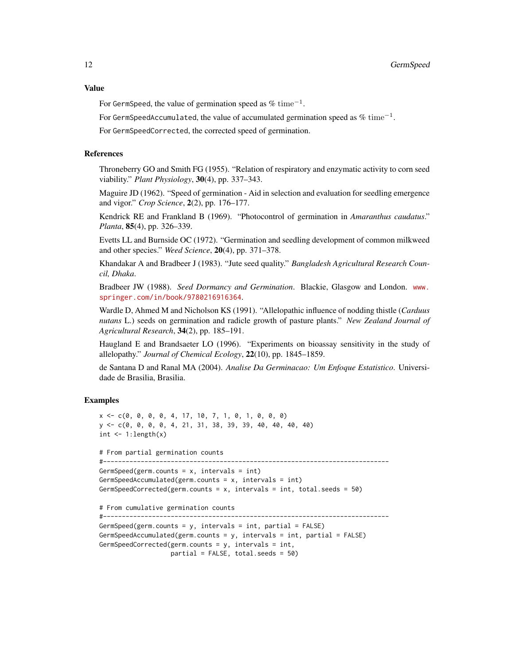#### Value

For GermSpeed, the value of germination speed as %  $time^{-1}$ .

For GermSpeedAccumulated, the value of accumulated germination speed as  $\%$   $\mathrm{time}^{-1}.$ 

For GermSpeedCorrected, the corrected speed of germination.

#### References

Throneberry GO and Smith FG (1955). "Relation of respiratory and enzymatic activity to corn seed viability." *Plant Physiology*, 30(4), pp. 337–343.

Maguire JD (1962). "Speed of germination - Aid in selection and evaluation for seedling emergence and vigor." *Crop Science*, 2(2), pp. 176–177.

Kendrick RE and Frankland B (1969). "Photocontrol of germination in *Amaranthus caudatus*." *Planta*, 85(4), pp. 326–339.

Evetts LL and Burnside OC (1972). "Germination and seedling development of common milkweed and other species." *Weed Science*, 20(4), pp. 371–378.

Khandakar A and Bradbeer J (1983). "Jute seed quality." *Bangladesh Agricultural Research Council, Dhaka*.

Bradbeer JW (1988). *Seed Dormancy and Germination*. Blackie, Glasgow and London. [www.](www.springer.com/in/book/9780216916364) [springer.com/in/book/9780216916364](www.springer.com/in/book/9780216916364).

Wardle D, Ahmed M and Nicholson KS (1991). "Allelopathic influence of nodding thistle (*Carduus nutans* L.) seeds on germination and radicle growth of pasture plants." *New Zealand Journal of Agricultural Research*, 34(2), pp. 185–191.

Haugland E and Brandsaeter LO (1996). "Experiments on bioassay sensitivity in the study of allelopathy." *Journal of Chemical Ecology*, 22(10), pp. 1845–1859.

de Santana D and Ranal MA (2004). *Analise Da Germinacao: Um Enfoque Estatistico*. Universidade de Brasilia, Brasilia.

#### Examples

```
x \leq -c(0, 0, 0, 0, 4, 17, 10, 7, 1, 0, 1, 0, 0, 0)y <- c(0, 0, 0, 0, 4, 21, 31, 38, 39, 39, 40, 40, 40, 40)
int \leq -1: length(x)# From partial germination counts
#----------------------------------------------------------------------------
GermSpeed(germ.counts = x, intervals = int)
GermSpeedAccumulated(germ.counts = x, intervals = int)
GermSpeedCorrected(germ.counts = x, intervals = int, total.seeds = 50)
# From cumulative germination counts
#----------------------------------------------------------------------------
GermSpeed(germ.counts = y, intervals = int, partial = FALSE)
GermSpeedAccumulated(germ.counts = y, intervals = int, partial = FALSE)
GermSpeedCorrected(germ.counts = y, intervals = int,
                   partial = FALSE, total.seeds = 50)
```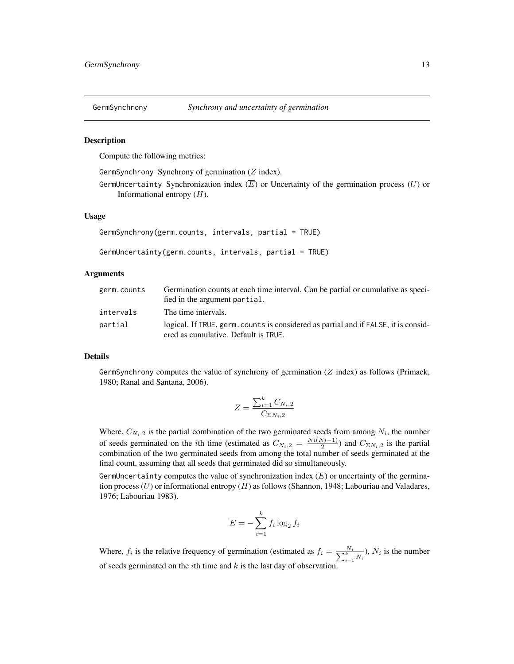<span id="page-12-1"></span><span id="page-12-0"></span>

#### Description

Compute the following metrics:

GermSynchrony Synchrony of germination  $(Z \text{ index})$ .

GermUncertainty Synchronization index  $(\overline{E})$  or Uncertainty of the germination process  $(U)$  or Informational entropy  $(H)$ .

#### Usage

```
GermSynchrony(germ.counts, intervals, partial = TRUE)
```

```
GermUncertainty(germ.counts, intervals, partial = TRUE)
```
#### Arguments

| germ.counts | Germination counts at each time interval. Can be partial or cumulative as speci-<br>fied in the argument partial.           |
|-------------|-----------------------------------------------------------------------------------------------------------------------------|
| intervals   | The time intervals.                                                                                                         |
| partial     | logical. If TRUE, germ, counts is considered as partial and if FALSE, it is consid-<br>ered as cumulative. Default is TRUE. |

#### Details

GermSynchrony computes the value of synchrony of germination  $(Z \text{ index})$  as follows (Primack, 1980; Ranal and Santana, 2006).

$$
Z = \frac{\sum_{i=1}^{k} C_{N_i,2}}{C_{\Sigma N_i,2}}
$$

Where,  $C_{N_i,2}$  is the partial combination of the two germinated seeds from among  $N_i$ , the number of seeds germinated on the *i*th time (estimated as  $C_{N_i,2} = \frac{Ni(N_i-1)}{2}$  $\frac{(v_i-1)}{2}$ ) and  $C_{\Sigma N_i,2}$  is the partial combination of the two germinated seeds from among the total number of seeds germinated at the final count, assuming that all seeds that germinated did so simultaneously.

GermUncertainty computes the value of synchronization index  $(\overline{E})$  or uncertainty of the germination process  $(U)$  or informational entropy  $(H)$  as follows (Shannon, 1948; Labouriau and Valadares, 1976; Labouriau 1983).

$$
\overline{E} = -\sum_{i=1}^{k} f_i \log_2 f_i
$$

Where,  $f_i$  is the relative frequency of germination (estimated as  $f_i = \frac{N_i}{\sum_{i=1}^k N_i}$ ),  $N_i$  is the number of seeds germinated on the *i*th time and  $k$  is the last day of observation.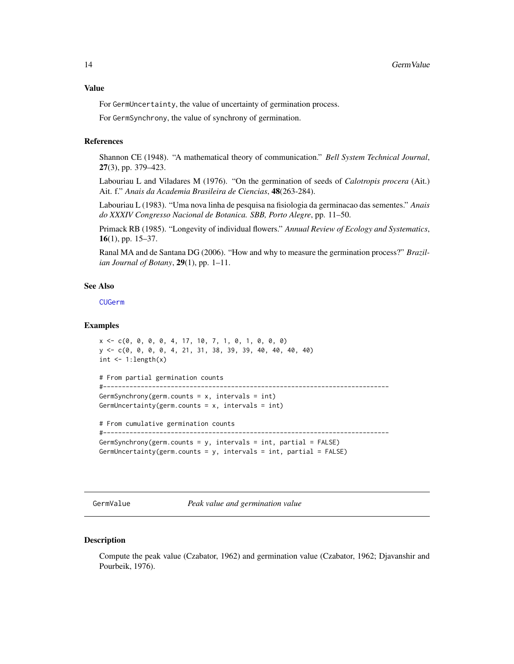#### <span id="page-13-0"></span>Value

For GermUncertainty, the value of uncertainty of germination process.

For GermSynchrony, the value of synchrony of germination.

#### References

Shannon CE (1948). "A mathematical theory of communication." *Bell System Technical Journal*, 27(3), pp. 379–423.

Labouriau L and Viladares M (1976). "On the germination of seeds of *Calotropis procera* (Ait.) Ait. f." *Anais da Academia Brasileira de Ciencias*, 48(263-284).

Labouriau L (1983). "Uma nova linha de pesquisa na fisiologia da germinacao das sementes." *Anais do XXXIV Congresso Nacional de Botanica. SBB, Porto Alegre*, pp. 11–50.

Primack RB (1985). "Longevity of individual flowers." *Annual Review of Ecology and Systematics*, 16(1), pp. 15–37.

Ranal MA and de Santana DG (2006). "How and why to measure the germination process?" *Brazilian Journal of Botany*, 29(1), pp. 1–11.

#### See Also

[CUGerm](#page-1-1)

#### Examples

```
x <- c(0, 0, 0, 0, 4, 17, 10, 7, 1, 0, 1, 0, 0, 0)
y <- c(0, 0, 0, 0, 4, 21, 31, 38, 39, 39, 40, 40, 40, 40)
int \leftarrow 1:length(x)
```

```
# From partial germination counts
#----------------------------------------------------------------------------
```

```
GermSynchrony(germ.counts = x, intervals = int)
GermUncertainty(germ.counts = x, intervals = int)
```
# From cumulative germination counts #----------------------------------------------------------------------------

```
GermSynchrony(germ.counts = y, intervals = int, partial = FALSE)
```
GermUncertainty(germ.counts =  $y$ , intervals = int, partial = FALSE)

GermValue *Peak value and germination value*

#### Description

Compute the peak value (Czabator, 1962) and germination value (Czabator, 1962; Djavanshir and Pourbeik, 1976).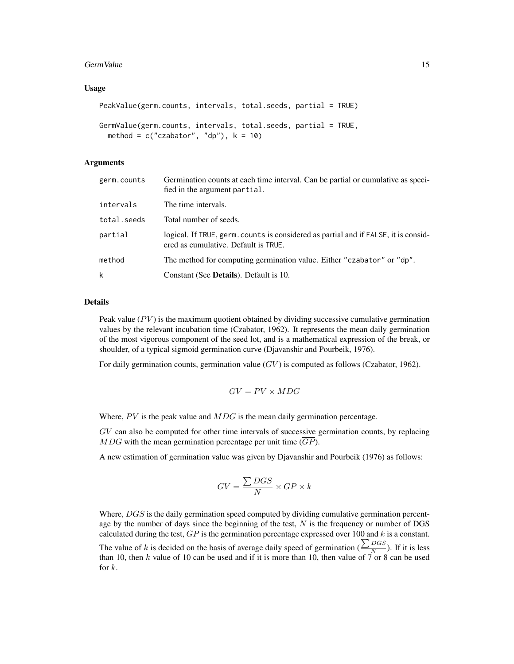#### GermValue 15

#### Usage

```
PeakValue(germ.counts, intervals, total.seeds, partial = TRUE)
GermValue(germ.counts, intervals, total.seeds, partial = TRUE,
```

```
method = c("czabator", "dp"), k = 10)
```
#### Arguments

| germ.counts | Germination counts at each time interval. Can be partial or cumulative as speci-<br>fied in the argument partial.           |
|-------------|-----------------------------------------------------------------------------------------------------------------------------|
| intervals   | The time intervals.                                                                                                         |
| total.seeds | Total number of seeds.                                                                                                      |
| partial     | logical. If TRUE, germ. counts is considered as partial and if FALSE, it is consid-<br>ered as cumulative. Default is TRUE. |
| method      | The method for computing germination value. Either "czabator" or "dp".                                                      |
| k           | Constant (See <b>Details</b> ). Default is 10.                                                                              |

#### Details

Peak value  $(PV)$  is the maximum quotient obtained by dividing successive cumulative germination values by the relevant incubation time (Czabator, 1962). It represents the mean daily germination of the most vigorous component of the seed lot, and is a mathematical expression of the break, or shoulder, of a typical sigmoid germination curve (Djavanshir and Pourbeik, 1976).

For daily germination counts, germination value  $(GV)$  is computed as follows (Czabator, 1962).

$$
GV=PV\times MDG
$$

Where,  $PV$  is the peak value and  $MDG$  is the mean daily germination percentage.

GV can also be computed for other time intervals of successive germination counts, by replacing  $MDG$  with the mean germination percentage per unit time  $(\overline{GP})$ .

A new estimation of germination value was given by Djavanshir and Pourbeik (1976) as follows:

$$
GV=\frac{\sum DGS}{N}\times GP\times k
$$

Where, DGS is the daily germination speed computed by dividing cumulative germination percentage by the number of days since the beginning of the test,  $N$  is the frequency or number of DGS calculated during the test,  $GP$  is the germination percentage expressed over 100 and k is a constant.

The value of k is decided on the basis of average daily speed of germination ( $\frac{\sum_{DGS}}{N}$  $\frac{B \cos \theta}{N}$ ). If it is less than 10, then k value of 10 can be used and if it is more than 10, then value of  $\overline{7}$  or 8 can be used for k.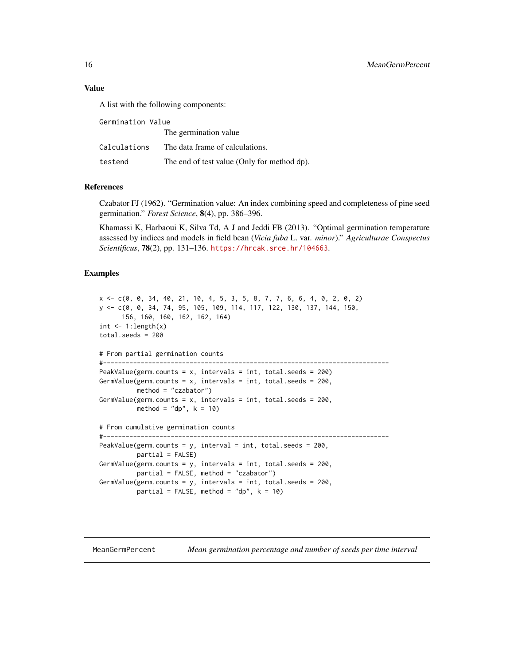#### <span id="page-15-0"></span>Value

A list with the following components:

| Germination Value |                                             |  |
|-------------------|---------------------------------------------|--|
|                   | The germination value                       |  |
| Calculations      | The data frame of calculations.             |  |
| testend           | The end of test value (Only for method dp). |  |

#### **References**

Czabator FJ (1962). "Germination value: An index combining speed and completeness of pine seed germination." *Forest Science*, 8(4), pp. 386–396.

Khamassi K, Harbaoui K, Silva Td, A J and Jeddi FB (2013). "Optimal germination temperature assessed by indices and models in field bean (*Vicia faba* L. var. *minor*)." *Agriculturae Conspectus Scientificus*, 78(2), pp. 131–136. <https://hrcak.srce.hr/104663>.

#### Examples

```
x <- c(0, 0, 34, 40, 21, 10, 4, 5, 3, 5, 8, 7, 7, 6, 6, 4, 0, 2, 0, 2)
y <- c(0, 0, 34, 74, 95, 105, 109, 114, 117, 122, 130, 137, 144, 150,
     156, 160, 160, 162, 162, 164)
int \leq -1: length(x)total.seeds = 200
# From partial germination counts
#----------------------------------------------------------------------------
PeakValue(germ.counts = x, intervals = int, total.seeds = 200)
GermValue(germ.counts = x, intervals = int, total.seeds = 200,
          method = "czabator")
GermValue(germ.counts = x, intervals = int, total.seeds = 200,
          method = "dp", k = 10# From cumulative germination counts
#----------------------------------------------------------------------------
PeakValue(germ.counts = y, interval = int, total.seeds = 200,
          partial = FALSE)
GermValue(germ.counts = y, intervals = int, total.seeds = 200,
          partial = FALSE, method = "czabator")
GermValue(germ.counts = y, intervals = int, total.seeds = 200,
          partial = FALSE, method = "dp", k = 10)
```
MeanGermPercent *Mean germination percentage and number of seeds per time interval*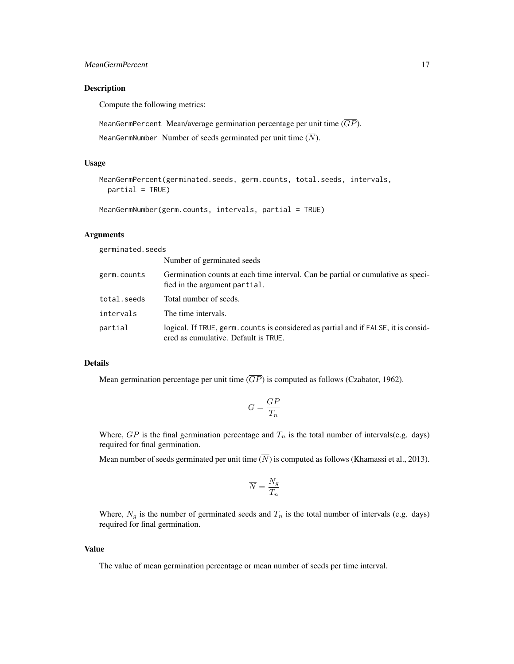#### Description

Compute the following metrics:

MeanGermPercent Mean/average germination percentage per unit time  $(\overline{GP})$ .

MeanGermNumber Number of seeds germinated per unit time  $(\overline{N})$ .

#### Usage

```
MeanGermPercent(germinated.seeds, germ.counts, total.seeds, intervals,
  partial = TRUE)
```
MeanGermNumber(germ.counts, intervals, partial = TRUE)

#### Arguments

germinated.seeds

|             | Number of germinated seeds                                                                                                  |
|-------------|-----------------------------------------------------------------------------------------------------------------------------|
| germ.counts | Germination counts at each time interval. Can be partial or cumulative as speci-<br>fied in the argument partial.           |
| total.seeds | Total number of seeds.                                                                                                      |
| intervals   | The time intervals.                                                                                                         |
| partial     | logical. If TRUE, germ, counts is considered as partial and if FALSE, it is consid-<br>ered as cumulative. Default is TRUE. |

#### Details

Mean germination percentage per unit time  $(\overline{GP})$  is computed as follows (Czabator, 1962).

$$
\overline{G} = \frac{GP}{T_n}
$$

Where,  $GP$  is the final germination percentage and  $T_n$  is the total number of intervals(e.g. days) required for final germination.

Mean number of seeds germinated per unit time  $(N)$  is computed as follows (Khamassi et al., 2013).

$$
\overline{N}=\frac{N_g}{T_n}
$$

Where,  $N_g$  is the number of germinated seeds and  $T_n$  is the total number of intervals (e.g. days) required for final germination.

#### Value

The value of mean germination percentage or mean number of seeds per time interval.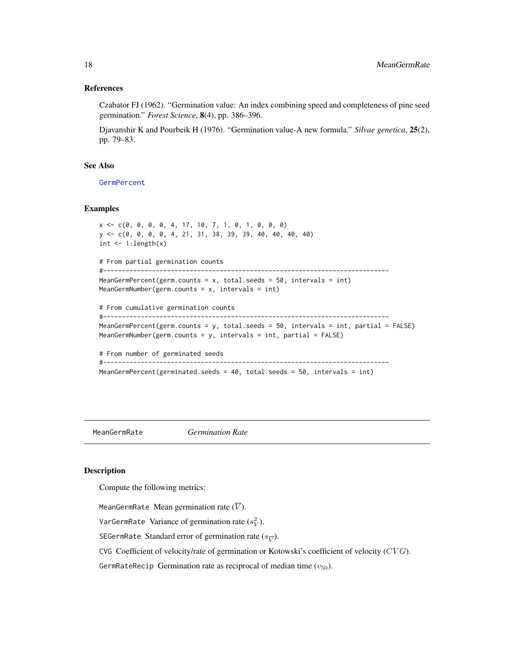#### <span id="page-17-0"></span>References

Czabator FJ (1962). "Germination value: An index combining speed and completeness of pine seed germination." *Forest Science*, 8(4), pp. 386–396.

Djavanshir K and Pourbeik H (1976). "Germination value-A new formula." *Silvae genetica*, 25(2), pp. 79–83.

#### See Also

**[GermPercent](#page-8-1)** 

#### **Examples**

```
x <- c(0, 0, 0, 0, 4, 17, 10, 7, 1, 0, 1, 0, 0, 0)
y <- c(0, 0, 0, 0, 4, 21, 31, 38, 39, 39, 40, 40, 40, 40)
int \leftarrow 1:length(x)
# From partial germination counts
#----------------------------------------------------------------------------
MeanGermPercent(germ.counts = x, total.seeds = 50, intervals = int)
MeanGermNumber(germ.counts = x, intervals = int)
# From cumulative germination counts
#----------------------------------------------------------------------------
MeanGermPercent(germ.counts = y, total.seeds = 50, intervals = int, partial = FALSE)
MeanGermNumber(germ.counts = y, intervals = int, partial = FALSE)
# From number of germinated seeds
#----------------------------------------------------------------------------
MeanGermPercent(germinated.seeds = 40, total.seeds = 50, intervals = int)
```
<span id="page-17-1"></span>MeanGermRate *Germination Rate*

#### Description

Compute the following metrics:

MeanGermRate Mean germination rate  $(\overline{V})$ .

VarGermRate Variance of germination rate  $(s_V^2)$ .

SEGermRate Standard error of germination rate ( $s_{\overline{V}}$ ).

CVG Coefficient of velocity/rate of germination or Kotowski's coefficient of velocity  $(CVG)$ .

GermRateRecip Germination rate as reciprocal of median time  $(v_{50})$ .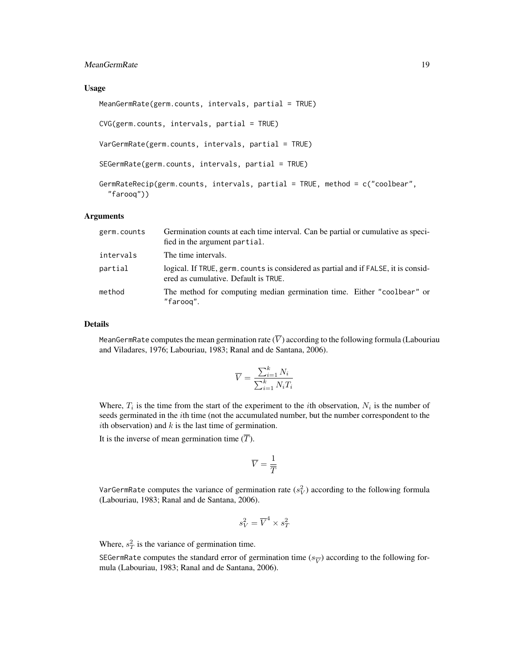#### MeanGermRate 19

#### Usage

MeanGermRate(germ.counts, intervals, partial = TRUE) CVG(germ.counts, intervals, partial = TRUE) VarGermRate(germ.counts, intervals, partial = TRUE) SEGermRate(germ.counts, intervals, partial = TRUE) GermRateRecip(germ.counts, intervals, partial = TRUE, method = c("coolbear",

#### Arguments

"farooq"))

| germ.counts | Germination counts at each time interval. Can be partial or cumulative as speci-<br>fied in the argument partial.           |
|-------------|-----------------------------------------------------------------------------------------------------------------------------|
| intervals   | The time intervals.                                                                                                         |
| partial     | logical. If TRUE, germ. counts is considered as partial and if FALSE, it is consid-<br>ered as cumulative. Default is TRUE. |
| method      | The method for computing median germination time. Either "coolbear" or<br>"faroog".                                         |

#### Details

MeanGermRate computes the mean germination rate  $(\overline{V})$  according to the following formula (Labouriau and Viladares, 1976; Labouriau, 1983; Ranal and de Santana, 2006).

$$
\overline{V} = \frac{\sum_{i=1}^{k} N_i}{\sum_{i=1}^{k} N_i T_i}
$$

Where,  $T_i$  is the time from the start of the experiment to the *i*th observation,  $N_i$  is the number of seeds germinated in the *i*th time (not the accumulated number, but the number correspondent to the ith observation) and  $k$  is the last time of germination.

It is the inverse of mean germination time  $(\overline{T})$ .

$$
\overline{V}=\frac{1}{\overline{T}}
$$

VarGermRate computes the variance of germination rate  $(s_V^2)$  according to the following formula (Labouriau, 1983; Ranal and de Santana, 2006).

$$
s_V^2 = \overline{V}^4 \times s_T^2
$$

Where,  $s_T^2$  is the variance of germination time.

SEGermRate computes the standard error of germination time ( $s_{\overline{V}}$ ) according to the following formula (Labouriau, 1983; Ranal and de Santana, 2006).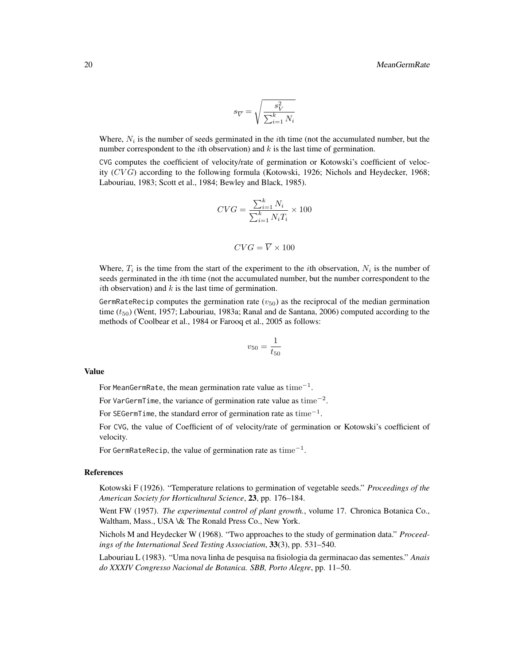$$
s_{\overline{V}} = \sqrt{\frac{s^2_{V}}{\sum_{i=1}^k N_i}}
$$

Where,  $N_i$  is the number of seeds germinated in the *i*th time (not the accumulated number, but the number correspondent to the *i*th observation) and  $k$  is the last time of germination.

CVG computes the coefficient of velocity/rate of germination or Kotowski's coefficient of velocity  $(CVG)$  according to the following formula (Kotowski, 1926; Nichols and Heydecker, 1968; Labouriau, 1983; Scott et al., 1984; Bewley and Black, 1985).

$$
CVG = \frac{\sum_{i=1}^{k} N_i}{\sum_{i=1}^{k} N_i T_i} \times 100
$$

$$
CVG = \overline{V} \times 100
$$

Where,  $T_i$  is the time from the start of the experiment to the *i*th observation,  $N_i$  is the number of seeds germinated in the ith time (not the accumulated number, but the number correspondent to the ith observation) and  $k$  is the last time of germination.

GermRateRecip computes the germination rate ( $v_{50}$ ) as the reciprocal of the median germination time  $(t_{50})$  (Went, 1957; Labouriau, 1983a; Ranal and de Santana, 2006) computed according to the methods of Coolbear et al., 1984 or Farooq et al., 2005 as follows:

$$
v_{50} = \frac{1}{t_{50}}
$$

#### Value

For MeanGermRate, the mean germination rate value as  ${\rm time}^{-1}.$ 

For VarGermTime, the variance of germination rate value as  $time^{-2}$ .

For SEGermTime, the standard error of germination rate as  $time^{-1}$ .

For CVG, the value of Coefficient of of velocity/rate of germination or Kotowski's coefficient of velocity.

For GermRateRecip, the value of germination rate as  $\mathrm{time}^{-1}.$ 

#### References

Kotowski F (1926). "Temperature relations to germination of vegetable seeds." *Proceedings of the American Society for Horticultural Science*, 23, pp. 176–184.

Went FW (1957). *The experimental control of plant growth.*, volume 17. Chronica Botanica Co., Waltham, Mass., USA \& The Ronald Press Co., New York.

Nichols M and Heydecker W (1968). "Two approaches to the study of germination data." *Proceedings of the International Seed Testing Association*, 33(3), pp. 531–540.

Labouriau L (1983). "Uma nova linha de pesquisa na fisiologia da germinacao das sementes." *Anais do XXXIV Congresso Nacional de Botanica. SBB, Porto Alegre*, pp. 11–50.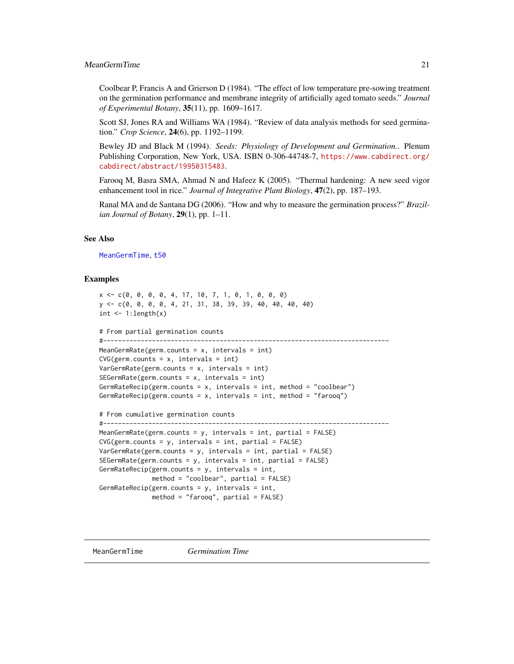#### <span id="page-20-0"></span>MeanGermTime 21

Coolbear P, Francis A and Grierson D (1984). "The effect of low temperature pre-sowing treatment on the germination performance and membrane integrity of artificially aged tomato seeds." *Journal of Experimental Botany*, 35(11), pp. 1609–1617.

Scott SJ, Jones RA and Williams WA (1984). "Review of data analysis methods for seed germination." *Crop Science*, 24(6), pp. 1192–1199.

Bewley JD and Black M (1994). *Seeds: Physiology of Development and Germination.*. Plenum Publishing Corporation, New York, USA. ISBN 0-306-44748-7, [https://www.cabdirect.org/](https://www.cabdirect.org/cabdirect/abstract/19950315483) [cabdirect/abstract/19950315483](https://www.cabdirect.org/cabdirect/abstract/19950315483).

Farooq M, Basra SMA, Ahmad N and Hafeez K (2005). "Thermal hardening: A new seed vigor enhancement tool in rice." *Journal of Integrative Plant Biology*, 47(2), pp. 187–193.

Ranal MA and de Santana DG (2006). "How and why to measure the germination process?" *Brazilian Journal of Botany*, 29(1), pp. 1–11.

#### See Also

[MeanGermTime](#page-20-1), [t50](#page-23-1)

#### Examples

```
x <- c(0, 0, 0, 0, 4, 17, 10, 7, 1, 0, 1, 0, 0, 0)
y <- c(0, 0, 0, 0, 4, 21, 31, 38, 39, 39, 40, 40, 40, 40)
int \leq -1: length(x)# From partial germination counts
#----------------------------------------------------------------------------
MeanGermRate(germ.counts = x, intervals = int)
CVG(germ.counts = x, intervals = int)VarGermRate(germ.counts = x, intervals = int)
SEGermRate(germ.counts = x, intervals = int)GermRateRecip(germ.counts = x, intervals = int, method = "coolbear")
GermRateRecip(germ.counts = x, intervals = int, method = "farooq")
# From cumulative germination counts
#----------------------------------------------------------------------------
MeanGermRate(germ.counts = y, intervals = int, partial = FALSE)
CVG(germ.counts = y, intervals = int, partial = FALSE)VarGermRate(germ.counts = y, intervals = int, partial = FALSE)
SEGermRate(germ.counts = y, intervals = int, partial = FALSE)
GermRateRecip(germ.counts = y, intervals = int,
              method = "coolbear", partial = FALSE)
GermRateRecip(germ.counts = y, intervals = int,
              method = "farooq", partial = FALSE)
```
<span id="page-20-1"></span>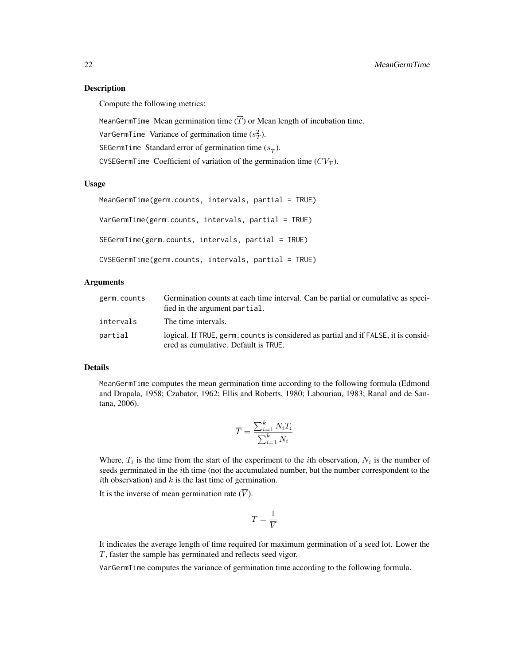#### Description

Compute the following metrics:

MeanGermTime Mean germination time  $(\overline{T})$  or Mean length of incubation time.

VarGermTime Variance of germination time  $(s_T^2)$ .

SEGermTime Standard error of germination time  $(s_{\overline{T}})$ .

CVSEGermTime Coefficient of variation of the germination time  $(CV_T)$ .

#### Usage

MeanGermTime(germ.counts, intervals, partial = TRUE) VarGermTime(germ.counts, intervals, partial = TRUE) SEGermTime(germ.counts, intervals, partial = TRUE) CVSEGermTime(germ.counts, intervals, partial = TRUE)

#### Arguments

| germ.counts | Germination counts at each time interval. Can be partial or cumulative as speci-<br>fied in the argument partial.           |
|-------------|-----------------------------------------------------------------------------------------------------------------------------|
| intervals   | The time intervals.                                                                                                         |
| partial     | logical. If TRUE, germ, counts is considered as partial and if FALSE, it is consid-<br>ered as cumulative. Default is TRUE. |

#### Details

MeanGermTime computes the mean germination time according to the following formula (Edmond and Drapala, 1958; Czabator, 1962; Ellis and Roberts, 1980; Labouriau, 1983; Ranal and de Santana, 2006).

$$
\overline{T} = \frac{\sum_{i=1}^{k} N_i T_i}{\sum_{i=1}^{k} N_i}
$$

Where,  $T_i$  is the time from the start of the experiment to the *i*th observation,  $N_i$  is the number of seeds germinated in the *i*th time (not the accumulated number, but the number correspondent to the ith observation) and  $k$  is the last time of germination.

It is the inverse of mean germination rate  $(\overline{V})$ .

$$
\overline{T} = \frac{1}{\overline{V}}
$$

It indicates the average length of time required for maximum germination of a seed lot. Lower the  $\overline{T}$ , faster the sample has germinated and reflects seed vigor.

VarGermTime computes the variance of germination time according to the following formula.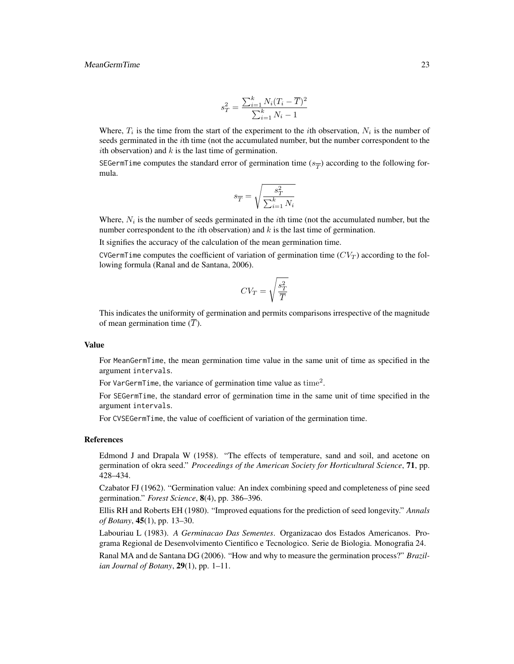#### MeanGermTime 23

$$
s_T^2 = \frac{\sum_{i=1}^k N_i (T_i - \overline{T})^2}{\sum_{i=1}^k N_i - 1}
$$

Where,  $T_i$  is the time from the start of the experiment to the *i*th observation,  $N_i$  is the number of seeds germinated in the *i*th time (not the accumulated number, but the number correspondent to the ith observation) and  $k$  is the last time of germination.

SEGermTime computes the standard error of germination time  $(s_{\overline{T}})$  according to the following formula.

$$
s_{\overline{T}} = \sqrt{\frac{s_T^2}{\sum_{i=1}^k N_i}}
$$

Where,  $N_i$  is the number of seeds germinated in the *i*th time (not the accumulated number, but the number correspondent to the *i*th observation) and  $k$  is the last time of germination.

It signifies the accuracy of the calculation of the mean germination time.

CVGermTime computes the coefficient of variation of germination time  $(CV_T)$  according to the following formula (Ranal and de Santana, 2006).

$$
CV_T = \sqrt{\frac{s_T^2}{\overline{T}}}
$$

This indicates the uniformity of germination and permits comparisons irrespective of the magnitude of mean germination time  $(\overline{T})$ .

#### Value

For MeanGermTime, the mean germination time value in the same unit of time as specified in the argument intervals.

For VarGermTime, the variance of germination time value as time<sup>2</sup>.

For SEGermTime, the standard error of germination time in the same unit of time specified in the argument intervals.

For CVSEGermTime, the value of coefficient of variation of the germination time.

#### References

Edmond J and Drapala W (1958). "The effects of temperature, sand and soil, and acetone on germination of okra seed." *Proceedings of the American Society for Horticultural Science*, 71, pp. 428–434.

Czabator FJ (1962). "Germination value: An index combining speed and completeness of pine seed germination." *Forest Science*, 8(4), pp. 386–396.

Ellis RH and Roberts EH (1980). "Improved equations for the prediction of seed longevity." *Annals of Botany*, 45(1), pp. 13–30.

Labouriau L (1983). *A Germinacao Das Sementes*. Organizacao dos Estados Americanos. Programa Regional de Desenvolvimento Cientifico e Tecnologico. Serie de Biologia. Monografia 24.

Ranal MA and de Santana DG (2006). "How and why to measure the germination process?" *Brazilian Journal of Botany*, 29(1), pp. 1–11.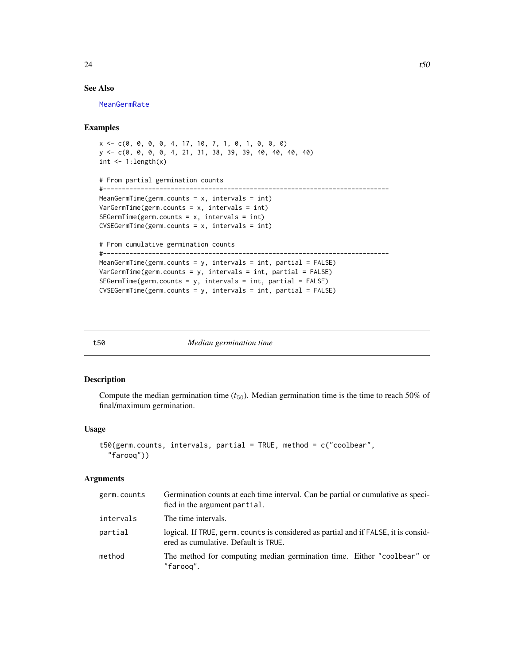#### <span id="page-23-0"></span>See Also

[MeanGermRate](#page-17-1)

#### Examples

```
x <- c(0, 0, 0, 0, 4, 17, 10, 7, 1, 0, 1, 0, 0, 0)
y <- c(0, 0, 0, 0, 4, 21, 31, 38, 39, 39, 40, 40, 40, 40)
int \leftarrow 1:length(x)# From partial germination counts
#----------------------------------------------------------------------------
MeanGermTime(germ.counts = x, intervals = int)VarGermTime(germ.counts = x, intervals = int)
SEGermTime(germ.counts = x, intervals = int)
CVSEGermTime(germ.counts = x, intervals = int)
# From cumulative germination counts
#----------------------------------------------------------------------------
MeanGermTime(germ.counts = y, intervals = int, partial = FALSE)VarGermanTime(germ.counts = y, intervals = int, partial = FALSE)SEGermTime(germ.counts = y, intervals = int, partial = FALSE)
CVSEGermTime(germ.counts = y, intervals = int, partial = FALSE)
```
<span id="page-23-1"></span>

#### t50 *Median germination time*

#### Description

Compute the median germination time  $(t_{50})$ . Median germination time is the time to reach 50% of final/maximum germination.

#### Usage

```
t50(germ.counts, intervals, partial = TRUE, method = c("coolbear",
  "farooq"))
```
#### Arguments

| germ.counts | Germination counts at each time interval. Can be partial or cumulative as speci-<br>fied in the argument partial.           |
|-------------|-----------------------------------------------------------------------------------------------------------------------------|
| intervals   | The time intervals.                                                                                                         |
| partial     | logical. If TRUE, germ, counts is considered as partial and if FALSE, it is consid-<br>ered as cumulative. Default is TRUE. |
| method      | The method for computing median germination time. Either "coolbear" or<br>"faroog".                                         |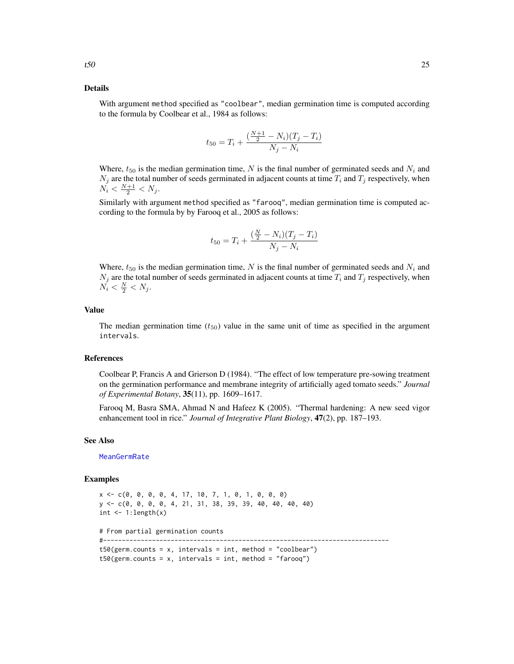#### <span id="page-24-0"></span>Details

With argument method specified as "coolbear", median germination time is computed according to the formula by Coolbear et al., 1984 as follows:

$$
t_{50} = T_i + \frac{\left(\frac{N+1}{2} - N_i\right)(T_j - T_i)}{N_j - N_i}
$$

Where,  $t_{50}$  is the median germination time, N is the final number of germinated seeds and  $N_i$  and  $N_j$  are the total number of seeds germinated in adjacent counts at time  $T_i$  and  $T_j$  respectively, when  $N_i < \frac{N+1}{2} < N_j$ .

Similarly with argument method specified as "farooq", median germination time is computed according to the formula by by Farooq et al., 2005 as follows:

$$
t_{50} = T_i + \frac{\left(\frac{N}{2} - N_i\right)(T_j - T_i)}{N_j - N_i}
$$

Where,  $t_{50}$  is the median germination time, N is the final number of germinated seeds and  $N_i$  and  $N_j$  are the total number of seeds germinated in adjacent counts at time  $T_i$  and  $T_j$  respectively, when  $N_i < \frac{N}{2} < N_j$ .

#### Value

The median germination time  $(t_{50})$  value in the same unit of time as specified in the argument intervals.

#### References

Coolbear P, Francis A and Grierson D (1984). "The effect of low temperature pre-sowing treatment on the germination performance and membrane integrity of artificially aged tomato seeds." *Journal of Experimental Botany*, 35(11), pp. 1609–1617.

Farooq M, Basra SMA, Ahmad N and Hafeez K (2005). "Thermal hardening: A new seed vigor enhancement tool in rice." *Journal of Integrative Plant Biology*, 47(2), pp. 187–193.

#### See Also

[MeanGermRate](#page-17-1)

#### Examples

```
x \leq -c(0, 0, 0, 0, 4, 17, 10, 7, 1, 0, 1, 0, 0, 0)y <- c(0, 0, 0, 0, 4, 21, 31, 38, 39, 39, 40, 40, 40, 40)
int \leq -1: length(x)# From partial germination counts
#----------------------------------------------------------------------------
t50(germ.counts = x, intervals = int, method = "coolbear")
t50(germ.counts = x, intervals = int, method = "farooq")
```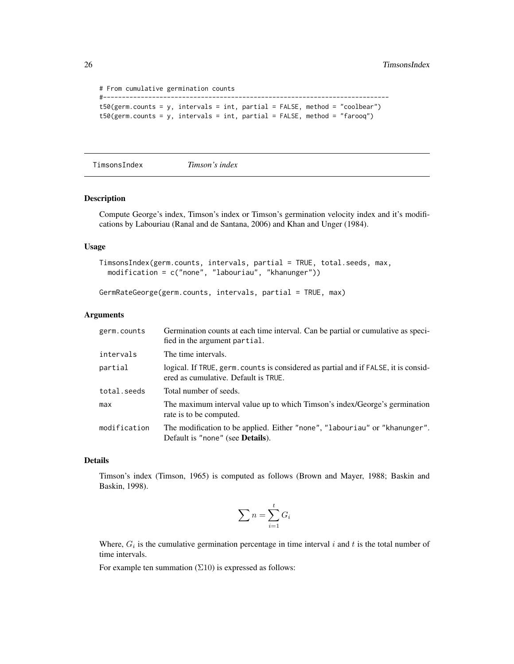```
# From cumulative germination counts
#----------------------------------------------------------------------------
t50(germ.counts = y, intervals = int, partial = FALSE, method = "coolbear")
t50(germ.counts = y, intervals = int, partial = FALSE, method = "farooq")
```
TimsonsIndex *Timson's index*

#### Description

Compute George's index, Timson's index or Timson's germination velocity index and it's modifications by Labouriau (Ranal and de Santana, 2006) and Khan and Unger (1984).

#### Usage

```
TimsonsIndex(germ.counts, intervals, partial = TRUE, total.seeds, max,
 modification = c("none", "labouriau", "khanunger"))
```
GermRateGeorge(germ.counts, intervals, partial = TRUE, max)

#### Arguments

| germ.counts  | Germination counts at each time interval. Can be partial or cumulative as speci-<br>fied in the argument partial.           |
|--------------|-----------------------------------------------------------------------------------------------------------------------------|
| intervals    | The time intervals.                                                                                                         |
| partial      | logical. If TRUE, germ. counts is considered as partial and if FALSE, it is consid-<br>ered as cumulative. Default is TRUE. |
| total.seeds  | Total number of seeds.                                                                                                      |
| max          | The maximum interval value up to which Timson's index/George's germination<br>rate is to be computed.                       |
| modification | The modification to be applied. Either "none", "labouriau" or "khanunger".<br>Default is "none" (see <b>Details</b> ).      |

#### Details

Timson's index (Timson, 1965) is computed as follows (Brown and Mayer, 1988; Baskin and Baskin, 1998).

$$
\sum n = \sum_{i=1}^{t} G_i
$$

Where,  $G_i$  is the cumulative germination percentage in time interval i and t is the total number of time intervals.

For example ten summation  $(\Sigma 10)$  is expressed as follows:

<span id="page-25-0"></span>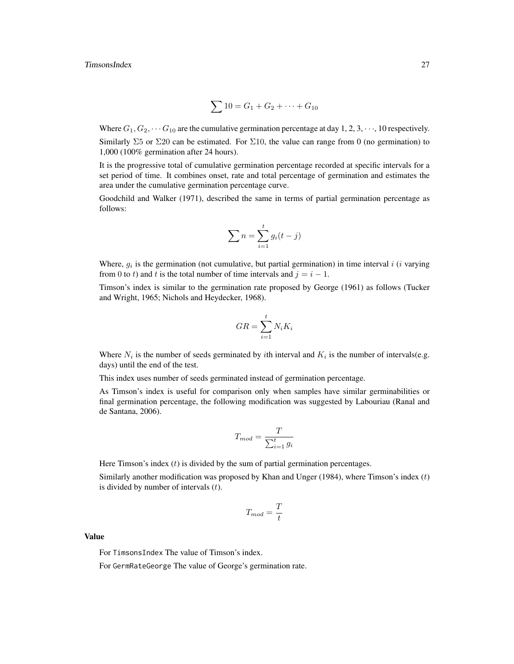$$
\sum 10 = G_1 + G_2 + \dots + G_{10}
$$

Where  $G_1, G_2, \cdots, G_{10}$  are the cumulative germination percentage at day 1, 2, 3,  $\cdots$ , 10 respectively. Similarly  $\Sigma$ 5 or  $\Sigma$ 20 can be estimated. For  $\Sigma$ 10, the value can range from 0 (no germination) to 1,000 (100% germination after 24 hours).

It is the progressive total of cumulative germination percentage recorded at specific intervals for a set period of time. It combines onset, rate and total percentage of germination and estimates the area under the cumulative germination percentage curve.

Goodchild and Walker (1971), described the same in terms of partial germination percentage as follows:

$$
\sum n = \sum_{i=1}^{t} g_i(t-j)
$$

Where,  $g_i$  is the germination (not cumulative, but partial germination) in time interval i (i varying from 0 to t) and t is the total number of time intervals and  $i = i - 1$ .

Timson's index is similar to the germination rate proposed by George (1961) as follows (Tucker and Wright, 1965; Nichols and Heydecker, 1968).

$$
GR = \sum_{i=1}^{t} N_i K_i
$$

Where  $N_i$  is the number of seeds germinated by *i*th interval and  $K_i$  is the number of intervals(e.g. days) until the end of the test.

This index uses number of seeds germinated instead of germination percentage.

As Timson's index is useful for comparison only when samples have similar germinabilities or final germination percentage, the following modification was suggested by Labouriau (Ranal and de Santana, 2006).

$$
T_{mod} = \frac{T}{\sum_{i=1}^{t} g_i}
$$

Here Timson's index  $(t)$  is divided by the sum of partial germination percentages.

Similarly another modification was proposed by Khan and Unger (1984), where Timson's index  $(t)$ is divided by number of intervals  $(t)$ .

$$
T_{mod} = \frac{T}{t}
$$

Value

For TimsonsIndex The value of Timson's index.

For GermRateGeorge The value of George's germination rate.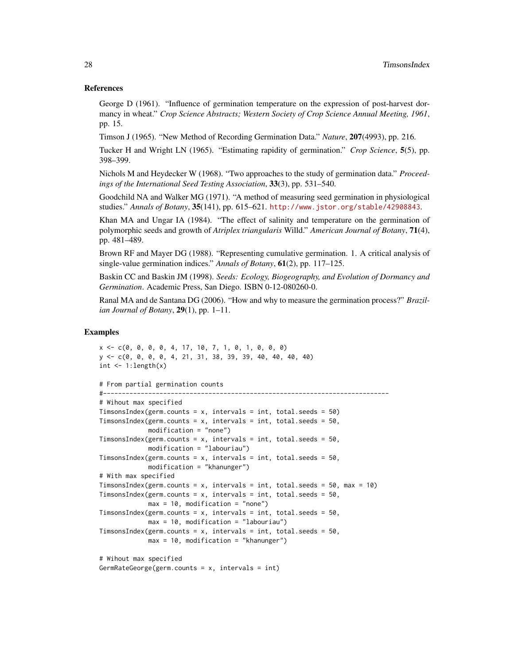#### References

George D (1961). "Influence of germination temperature on the expression of post-harvest dormancy in wheat." *Crop Science Abstracts; Western Society of Crop Science Annual Meeting, 1961*, pp. 15.

Timson J (1965). "New Method of Recording Germination Data." *Nature*, 207(4993), pp. 216.

Tucker H and Wright LN (1965). "Estimating rapidity of germination." *Crop Science*, 5(5), pp. 398–399.

Nichols M and Heydecker W (1968). "Two approaches to the study of germination data." *Proceedings of the International Seed Testing Association*, 33(3), pp. 531–540.

Goodchild NA and Walker MG (1971). "A method of measuring seed germination in physiological studies." *Annals of Botany*, 35(141), pp. 615–621. <http://www.jstor.org/stable/42908843>.

Khan MA and Ungar IA (1984). "The effect of salinity and temperature on the germination of polymorphic seeds and growth of *Atriplex triangularis* Willd." *American Journal of Botany*, 71(4), pp. 481–489.

Brown RF and Mayer DG (1988). "Representing cumulative germination. 1. A critical analysis of single-value germination indices." *Annals of Botany*, 61(2), pp. 117–125.

Baskin CC and Baskin JM (1998). *Seeds: Ecology, Biogeography, and Evolution of Dormancy and Germination*. Academic Press, San Diego. ISBN 0-12-080260-0.

Ranal MA and de Santana DG (2006). "How and why to measure the germination process?" *Brazilian Journal of Botany*, 29(1), pp. 1–11.

#### Examples

```
x <- c(0, 0, 0, 0, 4, 17, 10, 7, 1, 0, 1, 0, 0, 0)
y <- c(0, 0, 0, 0, 4, 21, 31, 38, 39, 39, 40, 40, 40, 40)
int \leq -1: length(x)# From partial germination counts
#----------------------------------------------------------------------------
# Wihout max specified
TimsonsIndex(germ.counts = x, intervals = int, total.seeds = 50)
TimsonsIndex(germ.counts = x, intervals = int, total.seeds = 50,
            modification = "none")
TimsonsIndex(germ.counts = x, intervals = int, total.seeds = 50,
             modification = "labouriau")
TimsonsIndex(germ.counts = x, intervals = int, total.seeds = 50,
             modification = "khanunger")
# With max specified
TimsonsIndex(germ.counts = x, intervals = int, total.seeds = 50, max = 10)
TimsonsIndex(germ.counts = x, intervals = int, total.seeds = 50,
            max = 10, modification = "none")
TimsonsIndex(germ.counts = x, intervals = int, total.seeds = 50,
             max = 10, modification = "labouriau")
TimsonsIndex(germ.counts = x, intervals = int, total.seeds = 50,
            max = 10, modification = "khanunger")
# Wihout max specified
```

```
GermRateGeorge(germ.counts = x, intervals = int)
```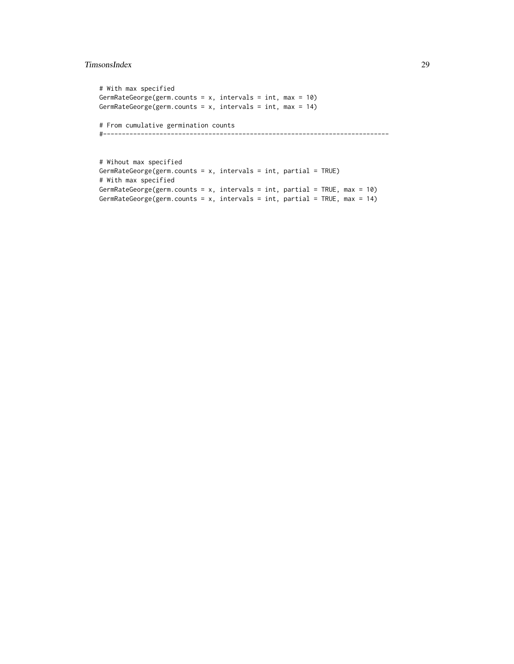#### TimsonsIndex 29

```
# With max specified
GermRateGeorge(germ.counts = x, intervals = int, max = 10)
GermRateGeorge(germ.counts = x, intervals = int, max = 14)
# From cumulative germination counts
#----------------------------------------------------------------------------
```

```
# Wihout max specified
GermRateGeorge(germ.counts = x, intervals = int, partial = TRUE)
# With max specified
GermRateGeorge(germ.counts = x, intervals = int, partial = TRUE, max = 10)
GermRateGeorge(germ.counts = x, intervals = int, partial = TRUE, max = 14)
```